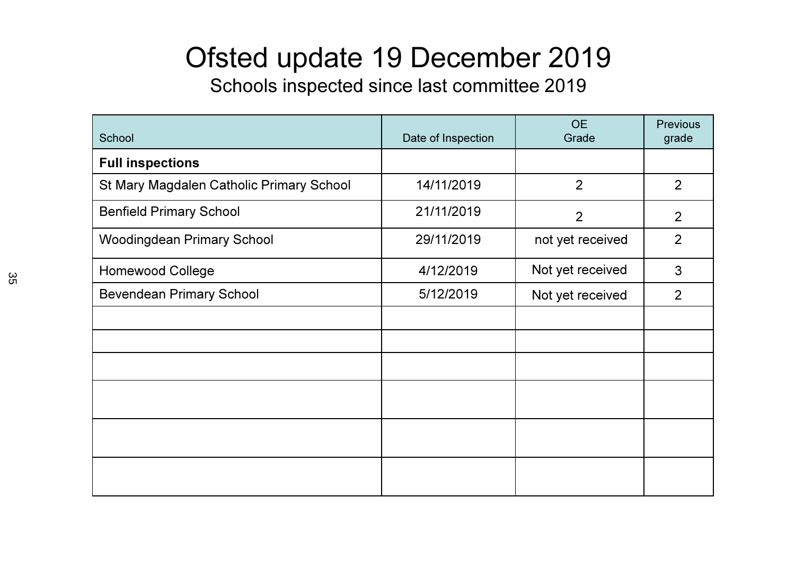### Ofsted update 19 December 2019

Schools inspected since last committee 2019

| School                                   | Date of Inspection | <b>OE</b><br>Grade | <b>Previous</b><br>grade |
|------------------------------------------|--------------------|--------------------|--------------------------|
| <b>Full inspections</b>                  |                    |                    |                          |
| St Mary Magdalen Catholic Primary School | 14/11/2019         | $\overline{2}$     | 2                        |
| <b>Benfield Primary School</b>           | 21/11/2019         | $\overline{2}$     | 2                        |
| <b>Woodingdean Primary School</b>        | 29/11/2019         | not yet received   | $\overline{2}$           |
| <b>Homewood College</b>                  | 4/12/2019          | Not yet received   | 3                        |
| <b>Bevendean Primary School</b>          | 5/12/2019          | Not yet received   | $\overline{2}$           |
|                                          |                    |                    |                          |
|                                          |                    |                    |                          |
|                                          |                    |                    |                          |
|                                          |                    |                    |                          |
|                                          |                    |                    |                          |
|                                          |                    |                    |                          |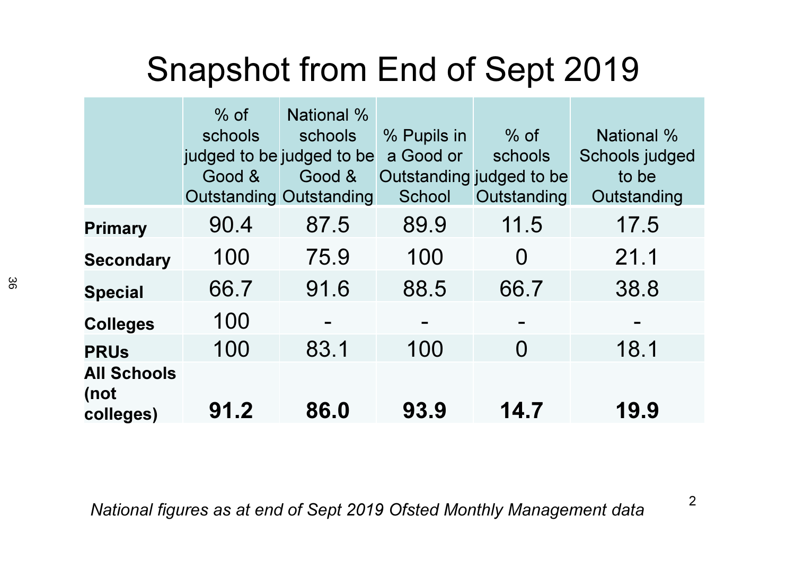# Snapshot from End of Sept 2019

|                                         | $%$ of<br>schools<br>judged to be judged to be<br>Good &<br><b>Outstanding Outstanding</b> | National %<br>schools<br>Good & | % Pupils in<br>a Good or<br>School | $%$ of<br>schools<br>Outstanding judged to be<br>Outstanding | <b>National %</b><br>Schools judged<br>to be<br>Outstanding |
|-----------------------------------------|--------------------------------------------------------------------------------------------|---------------------------------|------------------------------------|--------------------------------------------------------------|-------------------------------------------------------------|
| <b>Primary</b>                          | 90.4                                                                                       | 87.5                            | 89.9                               | 11.5                                                         | 17.5                                                        |
| <b>Secondary</b>                        | 100                                                                                        | 75.9                            | 100                                | $\Omega$                                                     | 21.1                                                        |
| <b>Special</b>                          | 66.7                                                                                       | 91.6                            | 88.5                               | 66.7                                                         | 38.8                                                        |
| <b>Colleges</b>                         | 100                                                                                        |                                 |                                    |                                                              |                                                             |
| <b>PRUs</b>                             | 100                                                                                        | 83.1                            | 100                                | $\Omega$                                                     | 18.1                                                        |
| <b>All Schools</b><br>(not<br>colleges) | 91.2                                                                                       | 86.0                            | 93.9                               | 14.7                                                         | 19.9                                                        |

National figures as at end of Sept 2019 Ofsted Monthly Management data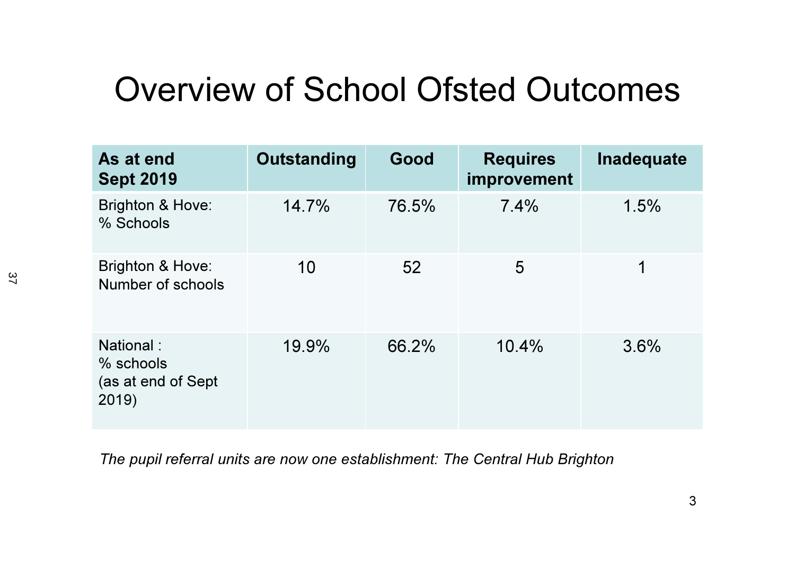## Overview of School Ofsted Outcomes

| As at end<br><b>Sept 2019</b>                         | Outstanding | Good  | <b>Requires</b><br>improvement | Inadequate |
|-------------------------------------------------------|-------------|-------|--------------------------------|------------|
| Brighton & Hove:<br>% Schools                         | 14.7%       | 76.5% | 7.4%                           | 1.5%       |
| Brighton & Hove:<br>Number of schools                 | 10          | 52    | 5                              | 1          |
| National:<br>% schools<br>(as at end of Sept<br>2019) | 19.9%       | 66.2% | 10.4%                          | 3.6%       |

The pupil referral units are now one establishment: The Central Hub Brighton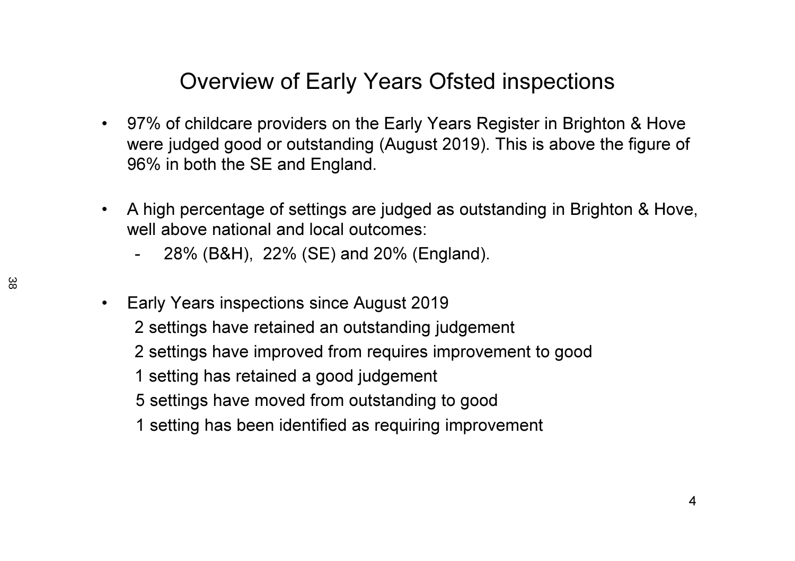#### Overview of Early Years Ofsted inspections

- $\bullet$  97% of childcare providers on the Early Years Register in Brighton & Hove were judged good or outstanding (August 2019). This is above the figure of 96% in both the SE and England.
- $\bullet$  A high percentage of settings are judged as outstanding in Brighton & Hove, well above national and local outcomes:
	- -28% (B&H), 22% (SE) and 20% (England).
- $\bullet$  Early Years inspections since August 2019
	- 2 settings have retained an outstanding judgement
	- 2 settings have improved from requires improvement to good
	- 1 setting has retained a good judgement
	- 5 settings have moved from outstanding to good
	- 1 setting has been identified as requiring improvement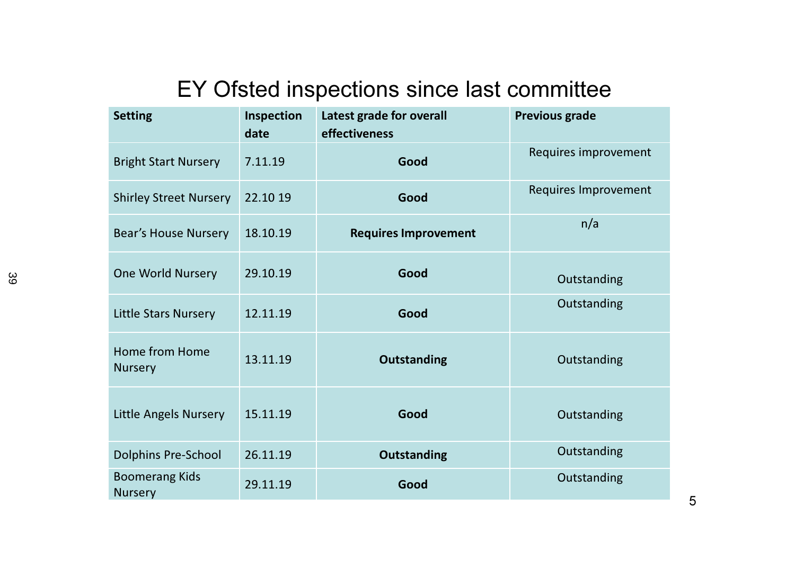#### EY Ofsted inspections since last committee

| <b>Setting</b>                          | Inspection<br>date | Latest grade for overall<br>effectiveness | <b>Previous grade</b>       |
|-----------------------------------------|--------------------|-------------------------------------------|-----------------------------|
| <b>Bright Start Nursery</b>             | 7.11.19            | Good                                      | Requires improvement        |
| <b>Shirley Street Nursery</b>           | 22.10 19           | Good                                      | <b>Requires Improvement</b> |
| <b>Bear's House Nursery</b>             | 18.10.19           | <b>Requires Improvement</b>               | n/a                         |
| <b>One World Nursery</b>                | 29.10.19           | Good                                      | Outstanding                 |
| <b>Little Stars Nursery</b>             | 12.11.19           | Good                                      | Outstanding                 |
| Home from Home<br><b>Nursery</b>        | 13.11.19           | <b>Outstanding</b>                        | Outstanding                 |
| <b>Little Angels Nursery</b>            | 15.11.19           | Good                                      | Outstanding                 |
| <b>Dolphins Pre-School</b>              | 26.11.19           | <b>Outstanding</b>                        | Outstanding                 |
| <b>Boomerang Kids</b><br><b>Nursery</b> | 29.11.19           | Good                                      | Outstanding                 |